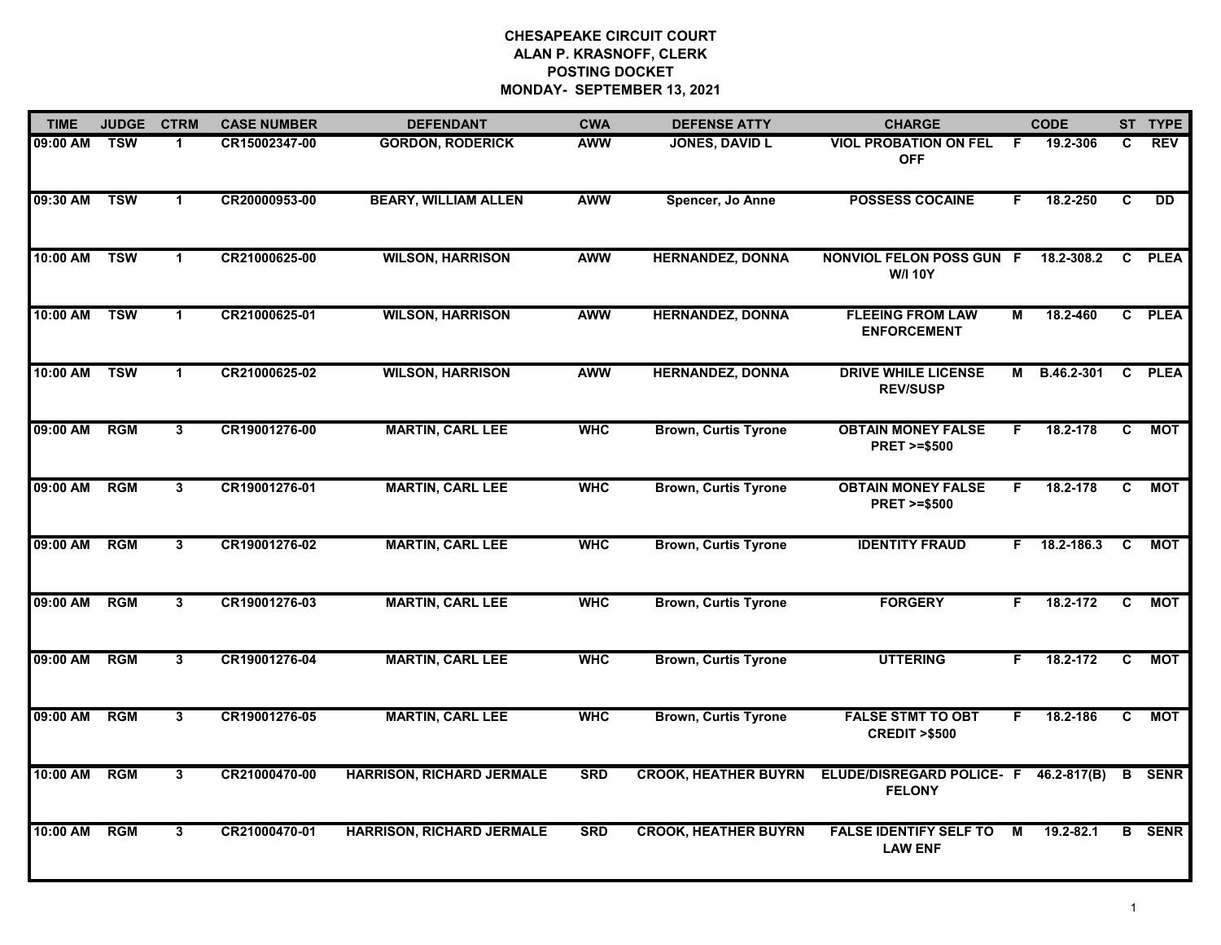## **CHESAPEAKE CIRCUIT COURT ALAN P. KRASNOFF, CLERK POSTING DOCKET MONDAY- SEPTEMBER 13, 2021**

| <b>TIME</b> | <b>JUDGE</b> | <b>CTRM</b>    | <b>CASE NUMBER</b> | <b>DEFENDANT</b>                 | <b>CWA</b> | <b>DEFENSE ATTY</b>         | <b>CHARGE</b>                                       |    | <b>CODE</b>    |    | ST TYPE       |
|-------------|--------------|----------------|--------------------|----------------------------------|------------|-----------------------------|-----------------------------------------------------|----|----------------|----|---------------|
| 09:00 AM    | <b>TSW</b>   |                | CR15002347-00      | <b>GORDON, RODERICK</b>          | <b>AWW</b> | <b>JONES, DAVID L</b>       | <b>VIOL PROBATION ON FEL</b><br><b>OFF</b>          | F. | 19.2-306       | C  | <b>REV</b>    |
| 09:30 AM    | <b>TSW</b>   | $\mathbf 1$    | CR20000953-00      | <b>BEARY, WILLIAM ALLEN</b>      | <b>AWW</b> | Spencer, Jo Anne            | <b>POSSESS COCAINE</b>                              | F. | 18.2-250       | C  | DD            |
| 10:00 AM    | <b>TSW</b>   | $\mathbf{1}$   | CR21000625-00      | <b>WILSON, HARRISON</b>          | <b>AWW</b> | <b>HERNANDEZ, DONNA</b>     | <b>NONVIOL FELON POSS GUN F</b><br><b>W/I 10Y</b>   |    | 18.2-308.2     | C. | <b>PLEA</b>   |
| 10:00 AM    | <b>TSW</b>   | 1              | CR21000625-01      | <b>WILSON, HARRISON</b>          | <b>AWW</b> | <b>HERNANDEZ, DONNA</b>     | <b>FLEEING FROM LAW</b><br><b>ENFORCEMENT</b>       | М  | 18.2-460       |    | C PLEA        |
| 10:00 AM    | <b>TSW</b>   | $\mathbf{1}$   | CR21000625-02      | <b>WILSON, HARRISON</b>          | <b>AWW</b> | <b>HERNANDEZ, DONNA</b>     | <b>DRIVE WHILE LICENSE</b><br><b>REV/SUSP</b>       |    | M B.46.2-301   |    | C PLEA        |
| 09:00 AM    | <b>RGM</b>   | 3              | CR19001276-00      | <b>MARTIN, CARL LEE</b>          | <b>WHC</b> | <b>Brown, Curtis Tyrone</b> | <b>OBTAIN MONEY FALSE</b><br><b>PRET &gt;=\$500</b> | F. | 18.2-178       | C. | МОТ           |
| 09:00 AM    | <b>RGM</b>   | 3 <sup>1</sup> | CR19001276-01      | <b>MARTIN, CARL LEE</b>          | <b>WHC</b> | <b>Brown, Curtis Tyrone</b> | <b>OBTAIN MONEY FALSE</b><br><b>PRET &gt;=\$500</b> | F. | 18.2-178       | C  | <b>MOT</b>    |
| 09:00 AM    | <b>RGM</b>   | 3              | CR19001276-02      | <b>MARTIN, CARL LEE</b>          | <b>WHC</b> | <b>Brown, Curtis Tyrone</b> | <b>IDENTITY FRAUD</b>                               |    | $F$ 18.2-186.3 | C  | МОТ           |
| 09:00 AM    | <b>RGM</b>   | 3              | CR19001276-03      | <b>MARTIN, CARL LEE</b>          | <b>WHC</b> | <b>Brown, Curtis Tyrone</b> | <b>FORGERY</b>                                      | F. | 18.2-172       | C  | МОТ           |
| 09:00 AM    | RGM          | 3              | CR19001276-04      | <b>MARTIN, CARL LEE</b>          | <b>WHC</b> | <b>Brown, Curtis Tyrone</b> | <b>UTTERING</b>                                     | E  | 18.2-172       | C  | <b>MOT</b>    |
| 09:00 AM    | <b>RGM</b>   | 3              | CR19001276-05      | <b>MARTIN, CARL LEE</b>          | <b>WHC</b> | <b>Brown, Curtis Tyrone</b> | <b>FALSE STMT TO OBT</b><br><b>CREDIT &gt;\$500</b> | F. | 18.2-186       | C  | MOT           |
| 10:00 AM    | <b>RGM</b>   | 3              | CR21000470-00      | <b>HARRISON, RICHARD JERMALE</b> | <b>SRD</b> | <b>CROOK, HEATHER BUYRN</b> | ELUDE/DISREGARD POLICE- F<br><b>FELONY</b>          |    | 46.2-817(B)    | B  | <b>SENR</b>   |
| 10:00 AM    | <b>RGM</b>   | 3              | CR21000470-01      | <b>HARRISON, RICHARD JERMALE</b> | <b>SRD</b> | <b>CROOK, HEATHER BUYRN</b> | <b>FALSE IDENTIFY SELF TO</b><br><b>LAW ENF</b>     | М  | 19.2-82.1      |    | <b>B</b> SENR |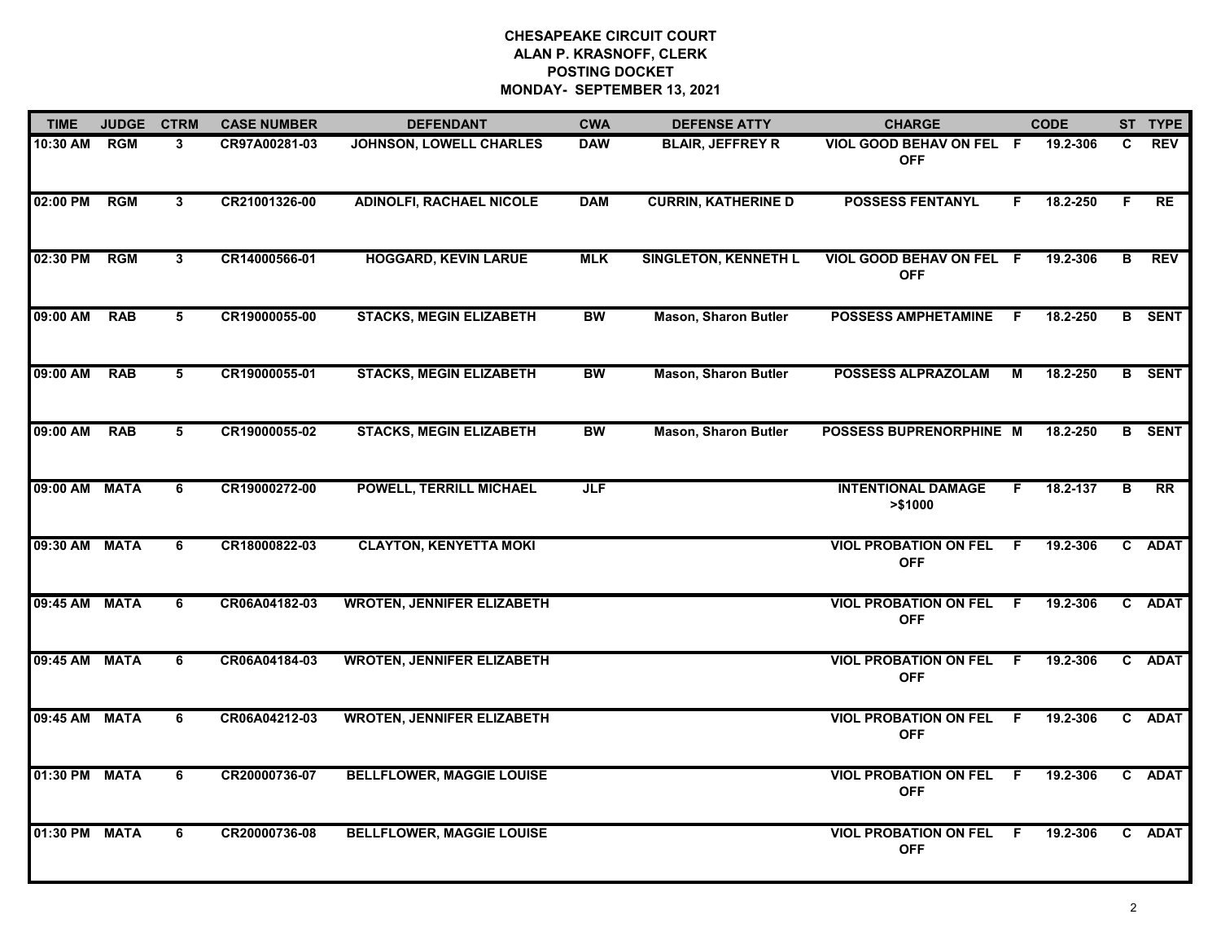## **CHESAPEAKE CIRCUIT COURT ALAN P. KRASNOFF, CLERK POSTING DOCKET MONDAY- SEPTEMBER 13, 2021**

| <b>TIME</b>   | <b>JUDGE</b> | <b>CTRM</b>  | <b>CASE NUMBER</b> | <b>DEFENDANT</b>                  | <b>CWA</b> | <b>DEFENSE ATTY</b>         | <b>CHARGE</b>                              |     | <b>CODE</b> |                         | ST TYPE         |
|---------------|--------------|--------------|--------------------|-----------------------------------|------------|-----------------------------|--------------------------------------------|-----|-------------|-------------------------|-----------------|
| 10:30 AM RGM  |              | 3            | CR97A00281-03      | JOHNSON, LOWELL CHARLES           | <b>DAW</b> | <b>BLAIR, JEFFREY R</b>     | VIOL GOOD BEHAV ON FEL F<br><b>OFF</b>     |     | 19.2-306    | C.                      | <b>REV</b>      |
| 02:00 PM      | <b>RGM</b>   | 3            | CR21001326-00      | <b>ADINOLFI, RACHAEL NICOLE</b>   | <b>DAM</b> | <b>CURRIN, KATHERINE D</b>  | <b>POSSESS FENTANYL</b>                    | F.  | 18.2-250    | F.                      | <b>RE</b>       |
| 02:30 PM      | <b>RGM</b>   | $\mathbf{3}$ | CR14000566-01      | <b>HOGGARD, KEVIN LARUE</b>       | <b>MLK</b> | <b>SINGLETON, KENNETH L</b> | VIOL GOOD BEHAV ON FEL F<br><b>OFF</b>     |     | 19.2-306    | B                       | <b>REV</b>      |
| 09:00 AM      | <b>RAB</b>   | 5            | CR19000055-00      | <b>STACKS, MEGIN ELIZABETH</b>    | BW         | <b>Mason, Sharon Butler</b> | <b>POSSESS AMPHETAMINE</b>                 | - F | 18.2-250    |                         | <b>B</b> SENT   |
| 09:00 AM      | <b>RAB</b>   | 5            | CR19000055-01      | <b>STACKS, MEGIN ELIZABETH</b>    | BW         | <b>Mason, Sharon Butler</b> | <b>POSSESS ALPRAZOLAM</b>                  | М   | 18.2-250    |                         | <b>B</b> SENT   |
| 09:00 AM      | <b>RAB</b>   | 5            | CR19000055-02      | <b>STACKS, MEGIN ELIZABETH</b>    | <b>BW</b>  | <b>Mason, Sharon Butler</b> | <b>POSSESS BUPRENORPHINE M</b>             |     | 18.2-250    |                         | <b>B</b> SENT   |
| 09:00 AM MATA |              | 6            | CR19000272-00      | <b>POWELL, TERRILL MICHAEL</b>    | JLF        |                             | <b>INTENTIONAL DAMAGE</b><br>> \$1000      | F   | 18.2-137    | $\overline{\mathbf{B}}$ | $\overline{RR}$ |
| 09:30 AM MATA |              | 6            | CR18000822-03      | <b>CLAYTON, KENYETTA MOKI</b>     |            |                             | <b>VIOL PROBATION ON FEL</b><br><b>OFF</b> | F.  | 19.2-306    |                         | C ADAT          |
| 09:45 AM MATA |              | 6            | CR06A04182-03      | <b>WROTEN, JENNIFER ELIZABETH</b> |            |                             | <b>VIOL PROBATION ON FEL</b><br><b>OFF</b> | - F | 19.2-306    |                         | C ADAT          |
| 09:45 AM MATA |              | 6            | CR06A04184-03      | <b>WROTEN, JENNIFER ELIZABETH</b> |            |                             | <b>VIOL PROBATION ON FEL</b><br><b>OFF</b> | - F | 19.2-306    |                         | C ADAT          |
| 09:45 AM MATA |              | 6            | CR06A04212-03      | <b>WROTEN, JENNIFER ELIZABETH</b> |            |                             | <b>VIOL PROBATION ON FEL</b><br><b>OFF</b> | - F | 19.2-306    |                         | C ADAT          |
| 01:30 PM MATA |              | 6            | CR20000736-07      | <b>BELLFLOWER, MAGGIE LOUISE</b>  |            |                             | <b>VIOL PROBATION ON FEL</b><br><b>OFF</b> | - F | 19.2-306    |                         | C ADAT          |
| 01:30 PM MATA |              | 6            | CR20000736-08      | <b>BELLFLOWER, MAGGIE LOUISE</b>  |            |                             | <b>VIOL PROBATION ON FEL</b><br><b>OFF</b> | -F  | 19.2-306    |                         | C ADAT          |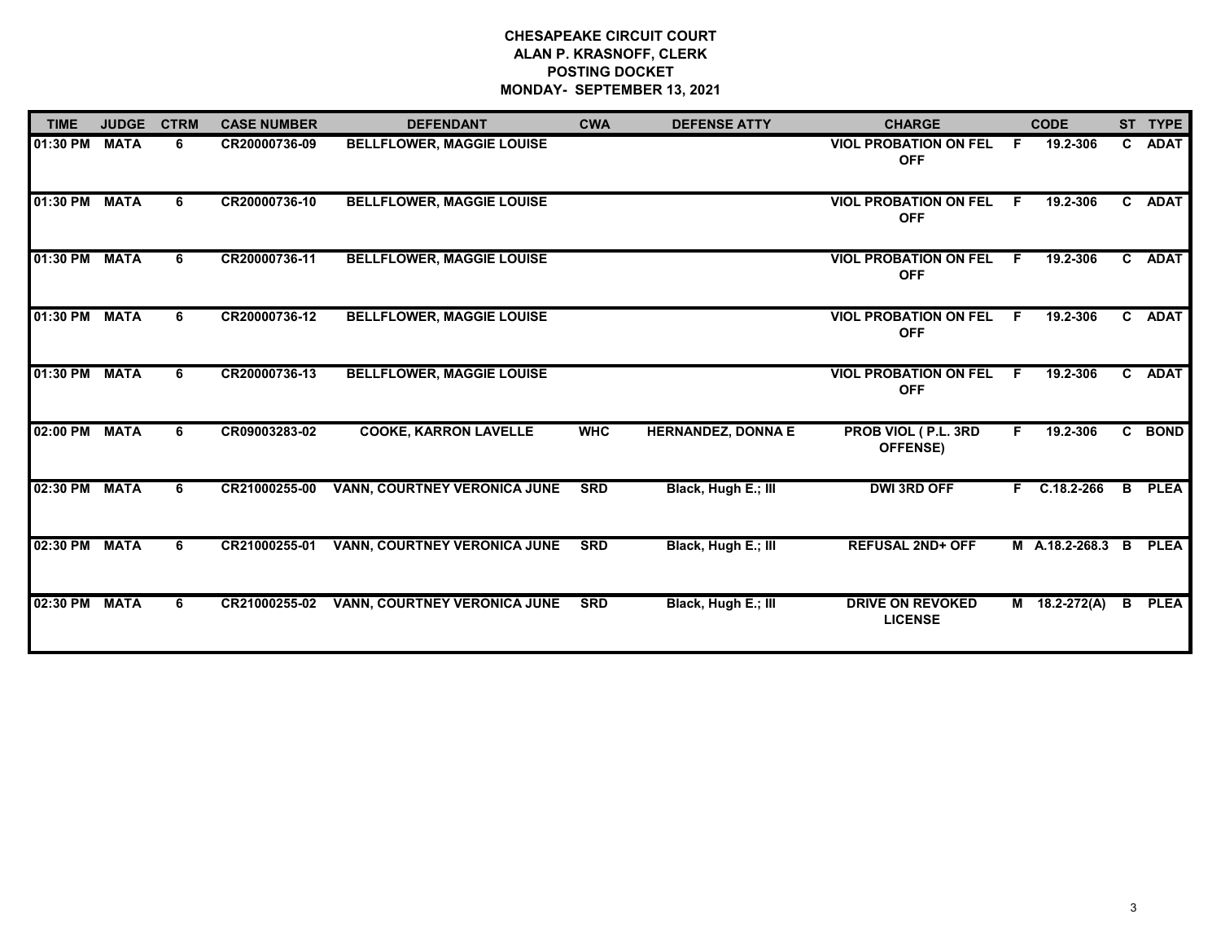## **CHESAPEAKE CIRCUIT COURT ALAN P. KRASNOFF, CLERK POSTING DOCKET MONDAY- SEPTEMBER 13, 2021**

| <b>TIME</b> | <b>JUDGE</b> | <b>CTRM</b> | <b>CASE NUMBER</b> | <b>DEFENDANT</b>                    | <b>CWA</b> | <b>DEFENSE ATTY</b>       | <b>CHARGE</b>                              |    | <b>CODE</b>     |              | ST TYPE     |
|-------------|--------------|-------------|--------------------|-------------------------------------|------------|---------------------------|--------------------------------------------|----|-----------------|--------------|-------------|
| 01:30 PM    | <b>MATA</b>  | 6           | CR20000736-09      | <b>BELLFLOWER, MAGGIE LOUISE</b>    |            |                           | <b>VIOL PROBATION ON FEL</b><br><b>OFF</b> | F. | 19.2-306        |              | C ADAT      |
| 01:30 PM    | <b>MATA</b>  | 6           | CR20000736-10      | <b>BELLFLOWER, MAGGIE LOUISE</b>    |            |                           | <b>VIOL PROBATION ON FEL</b><br><b>OFF</b> | F. | 19.2-306        |              | C ADAT      |
| 01:30 PM    | <b>MATA</b>  | 6           | CR20000736-11      | <b>BELLFLOWER, MAGGIE LOUISE</b>    |            |                           | <b>VIOL PROBATION ON FEL</b><br><b>OFF</b> | F. | 19.2-306        |              | C ADAT      |
| 01:30 PM    | <b>MATA</b>  | 6           | CR20000736-12      | <b>BELLFLOWER, MAGGIE LOUISE</b>    |            |                           | <b>VIOL PROBATION ON FEL</b><br><b>OFF</b> | F. | 19.2-306        | $\mathbf{c}$ | <b>ADAT</b> |
| 01:30 PM    | <b>MATA</b>  | 6           | CR20000736-13      | <b>BELLFLOWER, MAGGIE LOUISE</b>    |            |                           | <b>VIOL PROBATION ON FEL</b><br><b>OFF</b> | F. | 19.2-306        | C            | <b>ADAT</b> |
| 02:00 PM    | <b>MATA</b>  | 6           | CR09003283-02      | <b>COOKE, KARRON LAVELLE</b>        | <b>WHC</b> | <b>HERNANDEZ, DONNA E</b> | PROB VIOL (P.L. 3RD<br><b>OFFENSE)</b>     | F. | 19.2-306        |              | C BOND      |
| 02:30 PM    | <b>MATA</b>  | 6           | CR21000255-00      | <b>VANN, COURTNEY VERONICA JUNE</b> | <b>SRD</b> | Black, Hugh E.; III       | <b>DWI 3RD OFF</b>                         |    | $F$ C.18.2-266  | B            | <b>PLEA</b> |
| 02:30 PM    | <b>MATA</b>  | 6           | CR21000255-01      | VANN, COURTNEY VERONICA JUNE        | <b>SRD</b> | Black, Hugh E.; III       | <b>REFUSAL 2ND+ OFF</b>                    |    | M A.18.2-268.3  | В            | <b>PLEA</b> |
| 02:30 PM    | <b>MATA</b>  | 6           | CR21000255-02      | <b>VANN, COURTNEY VERONICA JUNE</b> | <b>SRD</b> | Black, Hugh E.; III       | <b>DRIVE ON REVOKED</b><br><b>LICENSE</b>  |    | $M$ 18.2-272(A) | B            | <b>PLEA</b> |